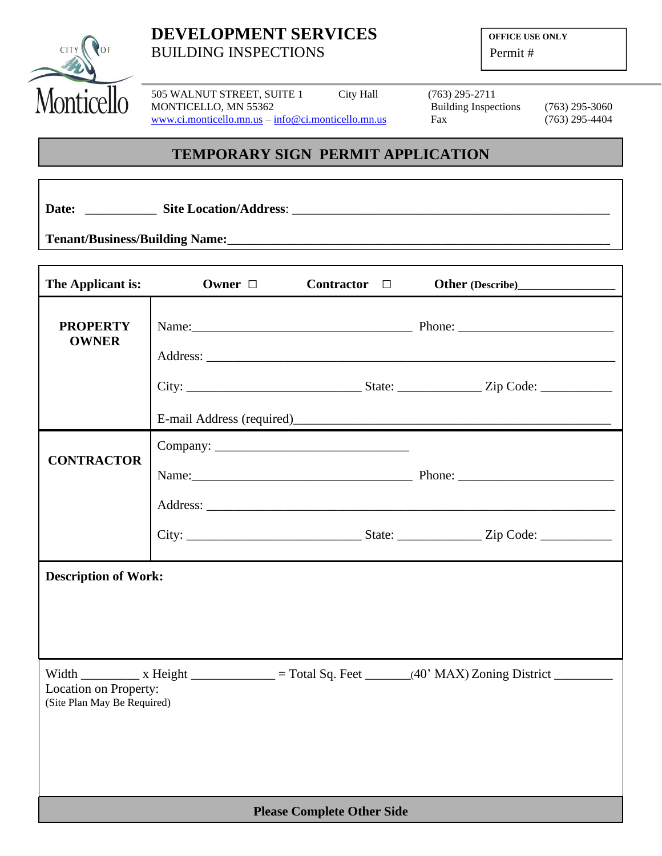

# **DEVELOPMENT SERVICES OFFICE USE ONLY** BUILDING INSPECTIONS Permit #

505 WALNUT STREET, SUITE 1 City Hall (763) 295-2711<br>MONTICELLO, MN 55362 Building Inspections MONTICELLO, MN 55362 Building Inspections (763) 295-3060 [www.ci.monticello.mn.us](http://www.ci.monticello.mn.us/) – [info@ci.monticello.mn.us](mailto:info@ci.monticello.mn.us) Fax (763) 295-4404

## **TEMPORARY SIGN PERMIT APPLICATION**

**Date:** \_\_\_\_\_\_\_\_\_\_\_ **Site Location/Address**: \_\_\_\_\_\_\_\_\_\_\_\_\_\_\_\_\_\_\_\_\_\_\_\_\_\_\_\_\_\_\_\_\_\_\_\_\_\_\_\_\_\_\_\_\_\_\_\_\_

**Tenant/Business/Building Name:**\_\_\_\_\_\_\_\_\_\_\_\_\_\_\_\_\_\_\_\_\_\_\_\_\_\_\_\_\_\_\_\_\_\_\_\_\_\_\_\_\_\_\_\_\_\_\_\_\_\_\_\_\_\_\_\_\_\_\_

| The Applicant is:                                                                                                                                                                 | Owner □ | Contractor $\Box$ |                                                                |  |
|-----------------------------------------------------------------------------------------------------------------------------------------------------------------------------------|---------|-------------------|----------------------------------------------------------------|--|
| <b>PROPERTY</b><br><b>OWNER</b>                                                                                                                                                   |         |                   |                                                                |  |
|                                                                                                                                                                                   |         |                   | E-mail Address (required)<br><u>E-mail Address (required</u> ) |  |
| <b>CONTRACTOR</b>                                                                                                                                                                 |         |                   | Name: <u>Name:</u> Phone: Phone: 2008.                         |  |
|                                                                                                                                                                                   |         |                   |                                                                |  |
| <b>Description of Work:</b>                                                                                                                                                       |         |                   |                                                                |  |
| Width $\frac{\ }{\ }$ x Height $\frac{\ }{\ }$ = Total Sq. Feet $\frac{\ }{\ }$ (40' MAX) Zoning District $\frac{\ }{\ }$<br>Location on Property:<br>(Site Plan May Be Required) |         |                   |                                                                |  |
| <b>Please Complete Other Side</b>                                                                                                                                                 |         |                   |                                                                |  |